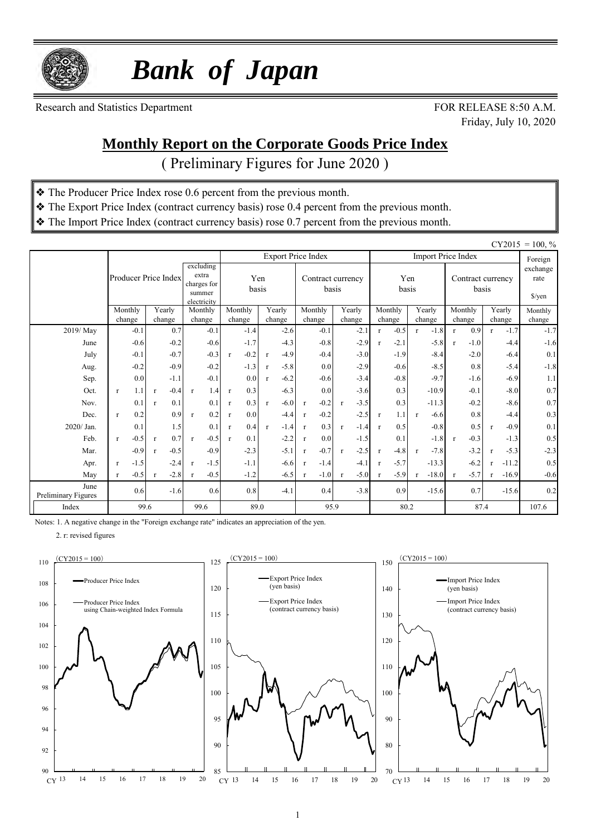

 *Bank of Japan*

Research and Statistics Department FOR RELEASE 8:50 A.M.

Friday, July 10, 2020

### **Monthly Report on the Corporate Goods Price Index**

( Preliminary Figures for June 2020 )

- ❖ The Producer Price Index rose 0.6 percent from the previous month.
- ❖ The Export Price Index (contract currency basis) rose 0.4 percent from the previous month.
- ❖ The Import Price Index (contract currency basis) rose 0.7 percent from the previous month.

|                             |                        |                        |                                                            |                        |                        |                           |                            |                        |                         |                               |                                     | $CY2015 = 100, \%$ |
|-----------------------------|------------------------|------------------------|------------------------------------------------------------|------------------------|------------------------|---------------------------|----------------------------|------------------------|-------------------------|-------------------------------|-------------------------------------|--------------------|
|                             |                        |                        |                                                            |                        |                        | <b>Export Price Index</b> |                            |                        |                         | <b>Import Price Index</b>     |                                     | Foreign            |
|                             | Producer Price Index   |                        | excluding<br>extra<br>charges for<br>summer<br>electricity |                        | Yen<br>basis           |                           | Contract currency<br>basis |                        | Yen<br>basis            | Contract currency<br>basis    | exchange<br>rate<br>$\sqrt{\gamma}$ |                    |
|                             | Monthly                | Yearly                 | Monthly                                                    | Monthly                | Yearly                 | Monthly                   | Yearly                     | Monthly                | Yearly                  | Monthly                       | Yearly                              | Monthly            |
| 2019/May                    | change<br>$-0.1$       | change<br>0.7          | change<br>$-0.1$                                           | change<br>$-1.4$       | change<br>$-2.6$       | change<br>$-0.1$          | change<br>$-2.1$           | change<br>$-0.5$<br>r  | change<br>$-1.8$<br>r   | change<br>0.9<br>$\mathbf{r}$ | change<br>$-1.7$<br>$\mathbf{r}$    | change<br>$-1.7$   |
| June                        | $-0.6$                 | $-0.2$                 | $-0.6$                                                     | $-1.7$                 | $-4.3$                 | $-0.8$                    | $-2.9$                     | $-2.1$<br>$\mathbf{r}$ | $-5.8$                  | $-1.0$<br>$\mathbf{r}$        | $-4.4$                              | $-1.6$             |
| July                        | $-0.1$                 | $-0.7$                 | $-0.3$                                                     | $-0.2$<br>$\mathbf{r}$ | $-4.9$<br>r            | $-0.4$                    | $-3.0$                     | $-1.9$                 | $-8.4$                  | $-2.0$                        | $-6.4$                              | 0.1                |
| Aug.                        | $-0.2$                 | $-0.9$                 | $-0.2$                                                     | $-1.3$                 | $-5.8$<br>r            | 0.0                       | $-2.9$                     | $-0.6$                 | $-8.5$                  | 0.8                           | $-5.4$                              | $-1.8$             |
| Sep.                        | 0.0                    | $-1.1$                 | $-0.1$                                                     | 0.0                    | $-6.2$<br>$\mathbf{r}$ | $-0.6$                    | $-3.4$                     | $-0.8$                 | $-9.7$                  | $-1.6$                        | $-6.9$                              | 1.1                |
| Oct.                        | 1.1<br>$\mathbf{r}$    | $-0.4$<br>$\mathbf{r}$ | 1.4<br>$\mathbf{r}$                                        | 0.3<br>$\mathbf{r}$    | $-6.3$                 | 0.0                       | $-3.6$                     | 0.3                    | $-10.9$                 | $-0.1$                        | $-8.0$                              | 0.7                |
| Nov.                        | 0.1                    | 0.1<br>$\mathbf{r}$    | 0.1                                                        | 0.3<br>$\mathbf{r}$    | $-6.0$<br>$\mathbf{r}$ | $-0.2$<br>$\mathbf{r}$    | $-3.5$<br>$\mathbf{r}$     | 0.3                    | $-11.3$                 | $-0.2$                        | $-8.6$                              | 0.7                |
| Dec.                        | 0.2<br>$\mathbf{r}$    | 0.9                    | 0.2<br>$\mathbf{r}$                                        | 0.0<br>$\mathbf{r}$    | $-4.4$                 | $-0.2$<br>$\mathbf{r}$    | $-2.5$                     | 1.1<br>$\mathbf{r}$    | $-6.6$<br>$\mathbf{r}$  | 0.8                           | $-4.4$                              | 0.3                |
| 2020/ Jan.                  | 0.1                    | 1.5                    | 0.1                                                        | 0.4<br>$\mathbf{r}$    | $-1.4$<br>$\mathbf{r}$ | 0.3<br>$\mathbf{r}$       | $-1.4$<br>$\mathbf{r}$     | 0.5<br>$\mathbf{r}$    | $-0.8$                  | 0.5                           | $-0.9$<br>$\mathbf{r}$              | 0.1                |
| Feb.                        | $-0.5$<br>$\mathbf{r}$ | 0.7<br>$\mathbf{r}$    | $-0.5$<br>$\mathbf{r}$                                     | 0.1<br>$\mathbf{r}$    | $-2.2$                 | 0.0<br>r                  | $-1.5$                     | 0.1                    | $-1.8$                  | $-0.3$<br>$\mathbf{r}$        | $-1.3$                              | 0.5                |
| Mar.                        | $-0.9$                 | $-0.5$<br>$\mathbf{r}$ | $-0.9$                                                     | $-2.3$                 | $-5.1$                 | $-0.7$<br>$\mathbf{r}$    | $-2.5$<br>$\mathbf{r}$     | $-4.8$<br>$\mathbf{r}$ | $-7.8$<br>$\mathbf{r}$  | $-3.2$                        | $-5.3$<br>r                         | $-2.3$             |
| Apr.                        | $-1.5$<br>$\mathbf{r}$ | $-2.4$                 | $-1.5$<br>$\mathbf{r}$                                     | $-1.1$                 | $-6.6$                 | $-1.4$<br>$\mathbf{r}$    | $-4.1$                     | $-5.7$<br>$\mathbf{r}$ | $-13.3$                 | $-6.2$                        | $-11.2$                             | 0.5                |
| May                         | $-0.5$<br>$\mathbf{r}$ | $-2.8$<br>$\mathbf{r}$ | $-0.5$<br>$\mathbf{r}$                                     | $-1.2$                 | $-6.5$                 | $-1.0$<br>$\mathbf{r}$    | $-5.0$<br>$\mathbf{r}$     | $-5.9$<br>$\mathbf{r}$ | $-18.0$<br>$\mathbf{r}$ | $-5.7$<br>$\mathbf{r}$        | $-16.9$<br>$\mathbf{r}$             | $-0.6$             |
| June<br>Preliminary Figures | 0.6                    | $-1.6$                 | 0.6                                                        | 0.8                    | $-4.1$                 | 0.4                       | $-3.8$                     | 0.9                    | $-15.6$                 | 0.7                           | $-15.6$                             | 0.2                |
| Index                       | 99.6                   |                        | 99.6                                                       |                        | 89.0                   |                           | 95.9                       |                        | 80.2                    | 87.4                          |                                     | 107.6              |

Notes: 1. A negative change in the "Foreign exchange rate" indicates an appreciation of the yen.

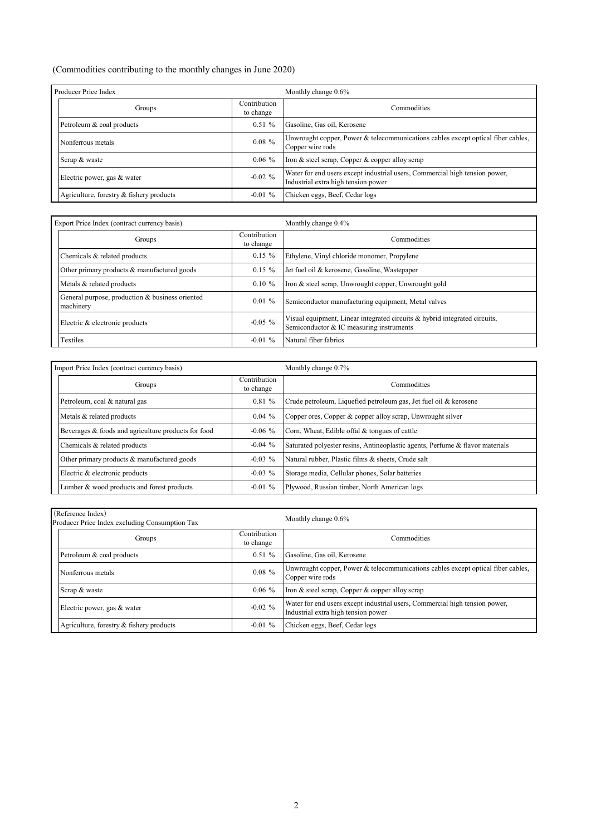#### (Commodities contributing to the monthly changes in June 2020)

| Producer Price Index                     |                           | Monthly change $0.6\%$                                                                                             |
|------------------------------------------|---------------------------|--------------------------------------------------------------------------------------------------------------------|
| Groups                                   | Contribution<br>to change | Commodities                                                                                                        |
| Petroleum & coal products                | 0.51%                     | Gasoline, Gas oil, Kerosene                                                                                        |
| Nonferrous metals                        | $0.08\%$                  | Unwrought copper, Power & telecommunications cables except optical fiber cables,<br>Copper wire rods               |
| Scrap & waste                            | $0.06\%$                  | Iron & steel scrap, Copper & copper alloy scrap                                                                    |
| Electric power, gas & water              | $-0.02 \%$                | Water for end users except industrial users, Commercial high tension power,<br>Industrial extra high tension power |
| Agriculture, forestry & fishery products | $-0.01 \%$                | Chicken eggs, Beef, Cedar logs                                                                                     |

| Export Price Index (contract currency basis)                 |                           | Monthly change 0.4%                                                                                                    |  |  |  |  |  |
|--------------------------------------------------------------|---------------------------|------------------------------------------------------------------------------------------------------------------------|--|--|--|--|--|
| Groups                                                       | Contribution<br>to change | Commodities                                                                                                            |  |  |  |  |  |
| Chemicals & related products                                 | $0.15 \%$                 | Ethylene, Vinyl chloride monomer, Propylene                                                                            |  |  |  |  |  |
| Other primary products & manufactured goods                  | $0.15 \%$                 | Jet fuel oil & kerosene, Gasoline, Wastepaper                                                                          |  |  |  |  |  |
| Metals & related products                                    | $0.10 \%$                 | Iron & steel scrap, Unwrought copper, Unwrought gold                                                                   |  |  |  |  |  |
| General purpose, production & business oriented<br>machinery | $0.01 \%$                 | Semiconductor manufacturing equipment, Metal valves                                                                    |  |  |  |  |  |
| Electric & electronic products                               | $-0.05\%$                 | Visual equipment, Linear integrated circuits & hybrid integrated circuits,<br>Semiconductor & IC measuring instruments |  |  |  |  |  |
| Textiles                                                     | $-0.01\%$                 | Natural fiber fabrics                                                                                                  |  |  |  |  |  |

| Import Price Index (contract currency basis)        |                           | Monthly change 0.7%                                                           |
|-----------------------------------------------------|---------------------------|-------------------------------------------------------------------------------|
| Groups                                              | Contribution<br>to change | Commodities                                                                   |
| Petroleum, coal & natural gas                       | 0.81%                     | Crude petroleum, Liquefied petroleum gas, Jet fuel oil & kerosene             |
| Metals & related products                           | $0.04\%$                  | Copper ores, Copper & copper alloy scrap, Unwrought silver                    |
| Beverages & foods and agriculture products for food | $-0.06\%$                 | Corn, Wheat, Edible offal & tongues of cattle                                 |
| Chemicals & related products                        | $-0.04\%$                 | Saturated polyester resins, Antineoplastic agents, Perfume & flavor materials |
| Other primary products & manufactured goods         | $-0.03\%$                 | Natural rubber, Plastic films & sheets, Crude salt                            |
| Electric & electronic products                      | $-0.03\%$                 | Storage media, Cellular phones, Solar batteries                               |
| Lumber & wood products and forest products          | $-0.01\%$                 | Plywood, Russian timber, North American logs                                  |

| (Reference Index)<br>Producer Price Index excluding Consumption Tax |                           | Monthly change $0.6\%$                                                                                             |
|---------------------------------------------------------------------|---------------------------|--------------------------------------------------------------------------------------------------------------------|
| Groups                                                              | Contribution<br>to change | Commodities                                                                                                        |
| Petroleum & coal products                                           | 0.51%                     | Gasoline, Gas oil, Kerosene                                                                                        |
| Nonferrous metals                                                   | $0.08 \%$                 | Unwrought copper, Power & telecommunications cables except optical fiber cables,<br>Copper wire rods               |
| Scrap & waste                                                       | $0.06\%$                  | Iron & steel scrap, Copper & copper alloy scrap                                                                    |
| Electric power, gas & water                                         | $-0.02 \%$                | Water for end users except industrial users, Commercial high tension power,<br>Industrial extra high tension power |
| Agriculture, forestry & fishery products                            | $-0.01 \%$                | Chicken eggs, Beef, Cedar logs                                                                                     |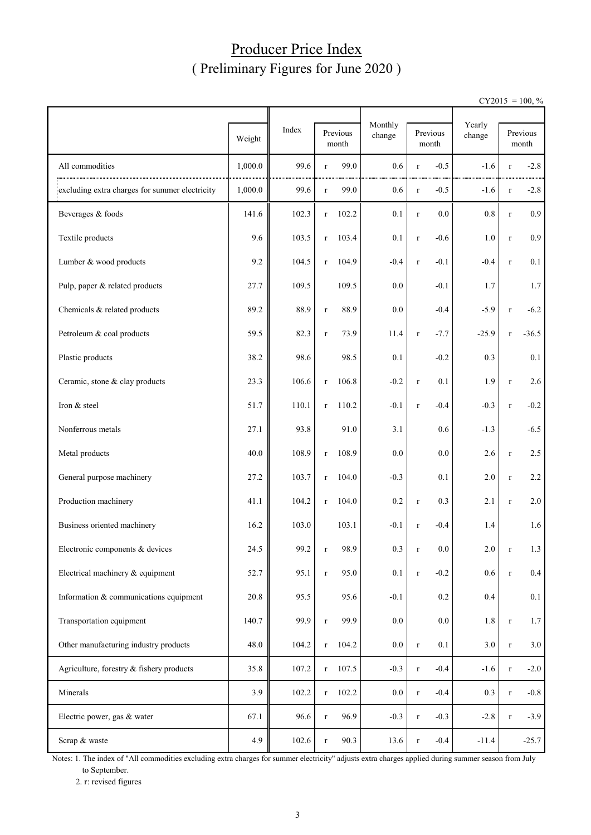### Producer Price Index ( Preliminary Figures for June 2020 )

 $CY2015 = 100, \%$ 

|                                                | Weight  | Index |             | Previous<br>month | Monthly<br>change |         | Previous<br>month | Yearly<br>change |         | Previous<br>month |
|------------------------------------------------|---------|-------|-------------|-------------------|-------------------|---------|-------------------|------------------|---------|-------------------|
| All commodities                                | 1,000.0 | 99.6  | $\bf r$     | 99.0              | 0.6               | $\bf r$ | $-0.5$            | $-1.6$           | $\bf r$ | $-2.8$            |
| excluding extra charges for summer electricity | 1,000.0 | 99.6  | $\bf r$     | 99.0              | 0.6               | $\bf r$ | $-0.5$            | $-1.6$           | $\bf r$ | $-2.8$            |
| Beverages & foods                              | 141.6   | 102.3 | r           | 102.2             | 0.1               | $\bf r$ | 0.0               | $0.8\,$          | $\bf r$ | 0.9               |
| Textile products                               | 9.6     | 103.5 | $\bf r$     | 103.4             | 0.1               | $\bf r$ | $-0.6$            | $1.0\,$          | $\bf r$ | 0.9               |
| Lumber & wood products                         | 9.2     | 104.5 | $\mathbf r$ | 104.9             | $-0.4$            | $\bf r$ | $-0.1$            | $-0.4$           | $\bf r$ | 0.1               |
| Pulp, paper & related products                 | 27.7    | 109.5 |             | 109.5             | 0.0               |         | $-0.1$            | 1.7              |         | 1.7               |
| Chemicals & related products                   | 89.2    | 88.9  | $\bf r$     | 88.9              | 0.0               |         | $-0.4$            | $-5.9$           | $\bf r$ | $-6.2$            |
| Petroleum & coal products                      | 59.5    | 82.3  | $\mathbf r$ | 73.9              | 11.4              | $\bf r$ | $-7.7$            | $-25.9$          | $\bf r$ | $-36.5$           |
| Plastic products                               | 38.2    | 98.6  |             | 98.5              | 0.1               |         | $-0.2$            | 0.3              |         | 0.1               |
| Ceramic, stone & clay products                 | 23.3    | 106.6 | $\bf r$     | 106.8             | $-0.2$            | $\bf r$ | 0.1               | 1.9              | $\bf r$ | 2.6               |
| Iron & steel                                   | 51.7    | 110.1 | $\bf r$     | 110.2             | $-0.1$            | $\bf r$ | $-0.4$            | $-0.3$           | $\bf r$ | $-0.2$            |
| Nonferrous metals                              | 27.1    | 93.8  |             | 91.0              | 3.1               |         | 0.6               | $-1.3$           |         | $-6.5$            |
| Metal products                                 | 40.0    | 108.9 | $\bf r$     | 108.9             | $0.0\,$           |         | 0.0               | 2.6              | $\bf r$ | 2.5               |
| General purpose machinery                      | 27.2    | 103.7 | $\bf r$     | 104.0             | $-0.3$            |         | 0.1               | 2.0              | $\bf r$ | $2.2\,$           |
| Production machinery                           | 41.1    | 104.2 | $\bf r$     | 104.0             | 0.2               | $\bf r$ | 0.3               | 2.1              | $\bf r$ | 2.0               |
| Business oriented machinery                    | 16.2    | 103.0 |             | 103.1             | $-0.1$            | $\bf r$ | $-0.4$            | 1.4              |         | 1.6               |
| Electronic components & devices                | 24.5    | 99.2  |             | 98.9              | $0.3\,$           |         | $0.0\,$           | 2.0              | r       | 1.3               |
| Electrical machinery & equipment               | 52.7    | 95.1  | $\mathbf r$ | 95.0              | 0.1               | $\bf r$ | $-0.2$            | 0.6              | $\bf r$ | $0.4\,$           |
| Information & communications equipment         | 20.8    | 95.5  |             | 95.6              | $-0.1$            |         | 0.2               | 0.4              |         | 0.1               |
| Transportation equipment                       | 140.7   | 99.9  | $\bf r$     | 99.9              | $0.0\,$           |         | 0.0               | $1.8\,$          | $\bf r$ | 1.7               |
| Other manufacturing industry products          | 48.0    | 104.2 | $\mathbf r$ | 104.2             | $0.0\,$           | $\bf r$ | 0.1               | $3.0\,$          | $\bf r$ | 3.0               |
| Agriculture, forestry & fishery products       | 35.8    | 107.2 | $\bf r$     | 107.5             | $-0.3$            | $\bf r$ | $-0.4$            | $-1.6$           | $\bf r$ | $-2.0$            |
| Minerals                                       | 3.9     | 102.2 | $\mathbf r$ | 102.2             | $0.0\,$           | $\bf r$ | $-0.4$            | 0.3              | $\bf r$ | $-0.8$            |
| Electric power, gas & water                    | 67.1    | 96.6  | $\bf r$     | 96.9              | $-0.3$            | $\bf r$ | $-0.3$            | $-2.8$           | $\bf r$ | $-3.9$            |
| Scrap & waste                                  | 4.9     | 102.6 | $\mathbf r$ | 90.3              | 13.6              | $\bf r$ | $-0.4$            | $-11.4$          |         | $-25.7$           |

Notes: 1. The index of "All commodities excluding extra charges for summer electricity" adjusts extra charges applied during summer season from July to September.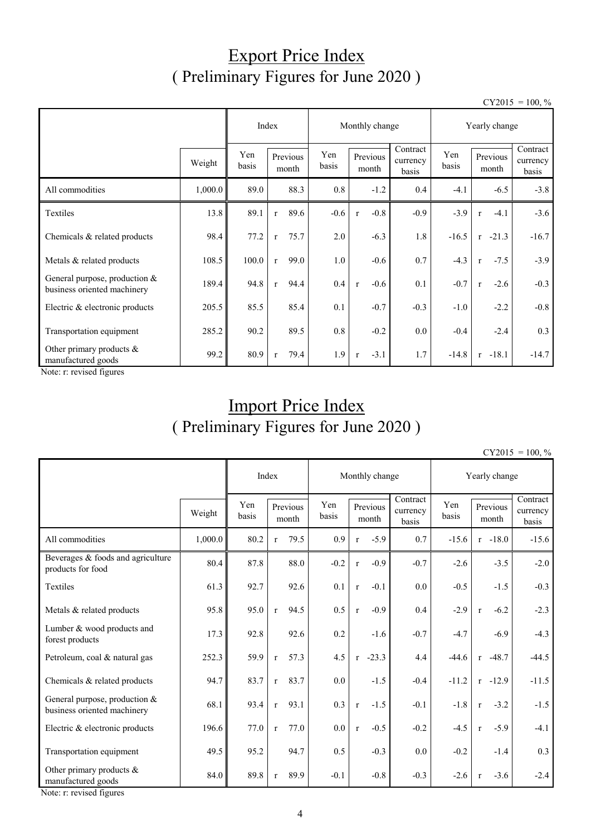## Export Price Index ( Preliminary Figures for June 2020 )

 $CY2015 = 100, \%$ 

|                                                                |         | Index        |                   | Monthly change |              |              |                   | Yearly change                 |              |                   |        |                               |
|----------------------------------------------------------------|---------|--------------|-------------------|----------------|--------------|--------------|-------------------|-------------------------------|--------------|-------------------|--------|-------------------------------|
|                                                                | Weight  | Yen<br>basis | Previous<br>month |                | Yen<br>basis |              | Previous<br>month | Contract<br>currency<br>basis | Yen<br>basis | Previous<br>month |        | Contract<br>currency<br>basis |
| All commodities                                                | 1,000.0 | 89.0         |                   | 88.3           | 0.8          |              | $-1.2$            | 0.4                           | $-4.1$       |                   | $-6.5$ | $-3.8$                        |
| Textiles                                                       | 13.8    | 89.1         | $\mathbf{r}$      | 89.6           | $-0.6$       | $\mathbf r$  | $-0.8$            | $-0.9$                        | $-3.9$       | $\mathbf{r}$      | $-4.1$ | $-3.6$                        |
| Chemicals & related products                                   | 98.4    | 77.2         | $\mathbf{r}$      | 75.7           | 2.0          |              | $-6.3$            | 1.8                           | $-16.5$      | $-21.3$<br>r      |        | $-16.7$                       |
| Metals & related products                                      | 108.5   | 100.0        | $\mathbf{r}$      | 99.0           | 1.0          |              | $-0.6$            | 0.7                           | $-4.3$       | $\mathbf{r}$      | $-7.5$ | $-3.9$                        |
| General purpose, production $&$<br>business oriented machinery | 189.4   | 94.8         | $\mathbf{r}$      | 94.4           | 0.4          | $\mathbf{r}$ | $-0.6$            | 0.1                           | $-0.7$       | $\mathbf{r}$      | $-2.6$ | $-0.3$                        |
| Electric & electronic products                                 | 205.5   | 85.5         |                   | 85.4           | 0.1          |              | $-0.7$            | $-0.3$                        | $-1.0$       |                   | $-2.2$ | $-0.8$                        |
| Transportation equipment                                       | 285.2   | 90.2         |                   | 89.5           | 0.8          |              | $-0.2$            | $0.0\,$                       | $-0.4$       |                   | $-2.4$ | 0.3                           |
| Other primary products $&$<br>manufactured goods               | 99.2    | 80.9         | $\mathbf{r}$      | 79.4           | 1.9          | r            | $-3.1$            | 1.7                           | $-14.8$      | $r - 18.1$        |        | $-14.7$                       |

Note: r: revised figures

# Import Price Index ( Preliminary Figures for June 2020 )

 $CY2015 = 100, \%$ 

|                                                              |                        |      | Index<br>Monthly change |      |              |                   | Yearly change |                               |              |              |                   |                               |
|--------------------------------------------------------------|------------------------|------|-------------------------|------|--------------|-------------------|---------------|-------------------------------|--------------|--------------|-------------------|-------------------------------|
|                                                              | Yen<br>Weight<br>basis |      | Previous<br>month       |      | Yen<br>basis | Previous<br>month |               | Contract<br>currency<br>basis | Yen<br>basis |              | Previous<br>month | Contract<br>currency<br>basis |
| All commodities                                              | 1,000.0                | 80.2 | $\mathbf{r}$            | 79.5 | 0.9          | $\mathbf{r}$      | $-5.9$        | 0.7                           | $-15.6$      |              | $r -18.0$         | $-15.6$                       |
| Beverages & foods and agriculture<br>products for food       | 80.4                   | 87.8 |                         | 88.0 | $-0.2$       | $\mathbf{r}$      | $-0.9$        | $-0.7$                        | $-2.6$       |              | $-3.5$            | $-2.0$                        |
| Textiles                                                     | 61.3                   | 92.7 |                         | 92.6 | 0.1          | $\mathbf{r}$      | $-0.1$        | 0.0                           | $-0.5$       |              | $-1.5$            | $-0.3$                        |
| Metals & related products                                    | 95.8                   | 95.0 | $\mathbf{r}$            | 94.5 | 0.5          | $\mathbf{r}$      | $-0.9$        | 0.4                           | $-2.9$       | $\mathbf{r}$ | $-6.2$            | $-2.3$                        |
| Lumber & wood products and<br>forest products                | 17.3                   | 92.8 |                         | 92.6 | 0.2          |                   | $-1.6$        | $-0.7$                        | $-4.7$       |              | $-6.9$            | $-4.3$                        |
| Petroleum, coal & natural gas                                | 252.3                  | 59.9 | $\mathbf{r}$            | 57.3 | 4.5          |                   | $r -23.3$     | 4.4                           | $-44.6$      |              | $r -48.7$         | $-44.5$                       |
| Chemicals & related products                                 | 94.7                   | 83.7 | $\mathbf{r}$            | 83.7 | 0.0          |                   | $-1.5$        | $-0.4$                        | $-11.2$      |              | $r -12.9$         | $-11.5$                       |
| General purpose, production &<br>business oriented machinery | 68.1                   | 93.4 | $\mathbf{r}$            | 93.1 | 0.3          | $\mathbf r$       | $-1.5$        | $-0.1$                        | $-1.8$       | $\mathbf{r}$ | $-3.2$            | $-1.5$                        |
| Electric & electronic products                               | 196.6                  | 77.0 | $\mathbf{r}$            | 77.0 | 0.0          | $\mathbf{r}$      | $-0.5$        | $-0.2$                        | $-4.5$       | $\mathbf{r}$ | $-5.9$            | $-4.1$                        |
| Transportation equipment                                     | 49.5                   | 95.2 |                         | 94.7 | 0.5          |                   | $-0.3$        | 0.0                           | $-0.2$       |              | $-1.4$            | 0.3                           |
| Other primary products $&$<br>manufactured goods             | 84.0                   | 89.8 | $\mathbf{r}$            | 89.9 | $-0.1$       |                   | $-0.8$        | $-0.3$                        | $-2.6$       | $\mathbf{r}$ | $-3.6$            | $-2.4$                        |

Note: r: revised figures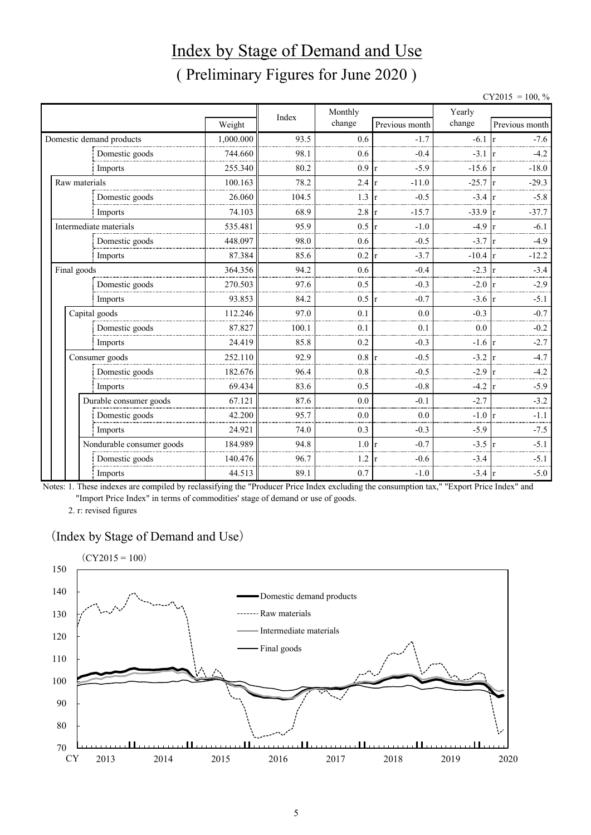# Index by Stage of Demand and Use ( Preliminary Figures for June 2020 )

 $CY2015 = 100, \%$ 

|               |                           |           |       | Monthly |                         | Yearly    |                           |
|---------------|---------------------------|-----------|-------|---------|-------------------------|-----------|---------------------------|
|               |                           | Weight    | Index | change  | Previous month          | change    | Previous month            |
|               | Domestic demand products  | 1,000.000 | 93.5  | 0.6     | $-1.7$                  | $-6.1$    | $-7.6$                    |
|               | Domestic goods            | 744.660   | 98.1  | 0.6     | $-0.4$                  | $-3.1$    | $-4.2$                    |
|               | Imports                   | 255.340   | 80.2  | 0.9     | $-5.9$<br>$\mathbf{r}$  | $-15.6$ r | $-18.0$                   |
| Raw materials |                           | 100.163   | 78.2  | 2.4     | $-11.0$<br>lr.          | $-25.7$   | $-29.3$                   |
|               | Domestic goods            | 26.060    | 104.5 | 1.3     | $-0.5$<br>r             | $-3.4$    | $-5.8$                    |
|               | Imports                   | 74.103    | 68.9  | 2.8     | $-15.7$<br>$\mathbf{r}$ | $-33.9$   | $-37.7$<br>$\mathsf{I}$ r |
|               | Intermediate materials    | 535.481   | 95.9  | 0.5     | $-1.0$<br>$\mathbf{r}$  | $-4.9$    | $-6.1$                    |
|               | Domestic goods            | 448.097   | 98.0  | 0.6     | $-0.5$                  | $-3.7$    | $-4.9$                    |
|               | Imports                   | 87.384    | 85.6  | 0.2     | $-3.7$<br>$\mathbf{r}$  | $-10.4$   | $-12.2$<br>$\mathbf{r}$   |
| Final goods   |                           | 364.356   | 94.2  | 0.6     | $-0.4$                  | $-2.3$    | $-3.4$                    |
|               | Domestic goods            | 270.503   | 97.6  | 0.5     | $-0.3$                  | $-2.0$    | $-2.9$<br>$\mathsf{I}$ r  |
|               | Imports                   | 93.853    | 84.2  | 0.5     | $-0.7$<br>1r            | $-3.6$ r  | $-5.1$                    |
|               | Capital goods             | 112.246   | 97.0  | 0.1     | 0.0                     | $-0.3$    | $-0.7$                    |
|               | Domestic goods            | 87.827    | 100.1 | 0.1     | 0.1                     | 0.0       | $-0.2$                    |
|               | Imports                   | 24.419    | 85.8  | 0.2     | $-0.3$                  | $-1.6$    | $-2.7$<br>$\mathsf{r}$    |
|               | Consumer goods            | 252.110   | 92.9  | 0.8     | $-0.5$<br>r             | $-3.2$    | $-4.7$                    |
|               | Domestic goods            | 182.676   | 96.4  | 0.8     | $-0.5$                  | $-2.9$    | $-4.2$                    |
|               | Imports                   | 69.434    | 83.6  | 0.5     | $-0.8$                  | $-4.2$    | $-5.9$<br>1r              |
|               | Durable consumer goods    | 67.121    | 87.6  | 0.0     | $-0.1$                  | $-2.7$    | $-3.2$                    |
|               | Domestic goods            | 42.200    | 95.7  | 0.0     | 0.0                     | $-1.0$    | $-1.1$                    |
|               | Imports                   | 24.921    | 74.0  | 0.3     | $-0.3$                  | $-5.9$    | $-7.5$                    |
|               | Nondurable consumer goods | 184.989   | 94.8  | 1.0     | $-0.7$<br>r             | $-3.5$    | $-5.1$                    |
|               | Domestic goods            | 140.476   | 96.7  | 1.2     | $-0.6$                  | $-3.4$    | $-5.1$                    |
|               | Imports                   | 44.513    | 89.1  | 0.7     | $-1.0$                  | $-3.4$    | $-5.0$<br>1r              |

Notes: 1. These indexes are compiled by reclassifying the "Producer Price Index excluding the consumption tax," "Export Price Index" and "Import Price Index" in terms of commodities' stage of demand or use of goods.

2. r: revised figures

#### (Index by Stage of Demand and Use)

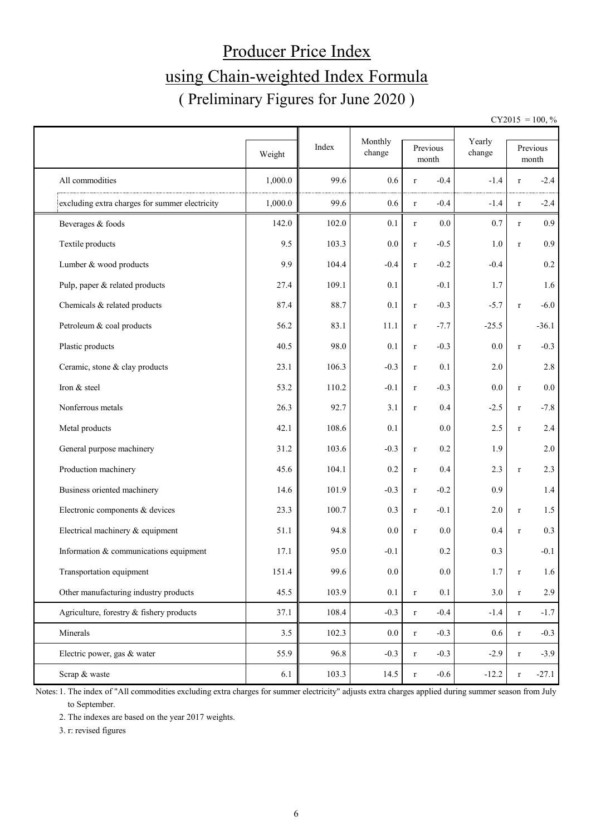# Producer Price Index using Chain-weighted Index Formula ( Preliminary Figures for June 2020 )

 $CY2015 = 100, \%$ 

|                                                | Weight  | Index | Monthly<br>change |             | Previous<br>$\mbox{month}$ | Yearly<br>change |              | Previous<br>month |
|------------------------------------------------|---------|-------|-------------------|-------------|----------------------------|------------------|--------------|-------------------|
| All commodities                                | 1,000.0 | 99.6  | 0.6               | $\bf r$     | $-0.4$                     | $-1.4$           | r            | $-2.4$            |
| excluding extra charges for summer electricity | 1,000.0 | 99.6  | 0.6               | $\bf r$     | $-0.4$                     | $-1.4$           | r            | $-2.4$            |
| Beverages & foods                              | 142.0   | 102.0 | 0.1               | $\mathbf r$ | 0.0                        | 0.7              | $\bf r$      | 0.9               |
| Textile products                               | 9.5     | 103.3 | 0.0               | $\bf r$     | $-0.5$                     | 1.0              | $\bf r$      | 0.9               |
| Lumber & wood products                         | 9.9     | 104.4 | $-0.4$            | $\mathbf r$ | $-0.2$                     | $-0.4$           |              | $0.2\,$           |
| Pulp, paper & related products                 | 27.4    | 109.1 | 0.1               |             | $-0.1$                     | 1.7              |              | 1.6               |
| Chemicals & related products                   | 87.4    | 88.7  | 0.1               | $\bf r$     | $-0.3$                     | $-5.7$           | $\bf r$      | $-6.0$            |
| Petroleum & coal products                      | 56.2    | 83.1  | 11.1              | $\bf r$     | $-7.7$                     | $-25.5$          |              | $-36.1$           |
| Plastic products                               | 40.5    | 98.0  | 0.1               | $\mathbf r$ | $-0.3$                     | 0.0              | $\bf r$      | $-0.3$            |
| Ceramic, stone & clay products                 | 23.1    | 106.3 | $-0.3$            | $\mathbf r$ | 0.1                        | 2.0              |              | 2.8               |
| Iron & steel                                   | 53.2    | 110.2 | $-0.1$            | $\bf r$     | $-0.3$                     | 0.0              | $\bf r$      | $0.0\,$           |
| Nonferrous metals                              | 26.3    | 92.7  | 3.1               | $\bf r$     | 0.4                        | $-2.5$           | $\bf r$      | $-7.8$            |
| Metal products                                 | 42.1    | 108.6 | 0.1               |             | 0.0                        | 2.5              | $\mathbf{r}$ | 2.4               |
| General purpose machinery                      | 31.2    | 103.6 | $-0.3$            | $\mathbf r$ | 0.2                        | 1.9              |              | $2.0\,$           |
| Production machinery                           | 45.6    | 104.1 | 0.2               | $\mathbf r$ | 0.4                        | 2.3              | $\mathbf{r}$ | 2.3               |
| Business oriented machinery                    | 14.6    | 101.9 | $-0.3$            | $\mathbf r$ | $-0.2$                     | 0.9              |              | 1.4               |
| Electronic components & devices                | 23.3    | 100.7 | 0.3               | $\mathbf r$ | $-0.1$                     | 2.0              | $\bf r$      | 1.5               |
| Electrical machinery & equipment               | 51.1    | 94.8  | 0.0               | $\mathbf r$ | 0.0                        | 0.4              | $\bf r$      | 0.3               |
| Information & communications equipment         | 17.1    | 95.0  | $-0.1$            |             | 0.2                        | 0.3              |              | $-0.1$            |
| Transportation equipment                       | 151.4   | 99.6  | $0.0\,$           |             | 0.0                        | 1.7              | $\bf r$      | 1.6               |
| Other manufacturing industry products          | 45.5    | 103.9 | 0.1               | $\mathbf r$ | 0.1                        | 3.0              | $\bf r$      | 2.9               |
| Agriculture, forestry & fishery products       | 37.1    | 108.4 | $-0.3$            | $\mathbf r$ | $-0.4$                     | $-1.4$           | $\bf r$      | $-1.7$            |
| Minerals                                       | 3.5     | 102.3 | $0.0\,$           | $\mathbf r$ | $-0.3$                     | $0.6\,$          | $\bf r$      | $-0.3$            |
| Electric power, gas & water                    | 55.9    | 96.8  | $-0.3$            | $\bf r$     | $-0.3$                     | $-2.9$           | $\bf r$      | $-3.9$            |
| Scrap & waste                                  | 6.1     | 103.3 | 14.5              | $\bf r$     | $-0.6$                     | $-12.2$          | $\bf r$      | $-27.1$           |

Notes: 1. The index of "All commodities excluding extra charges for summer electricity" adjusts extra charges applied during summer season from July to September.

2. The indexes are based on the year 2017 weights.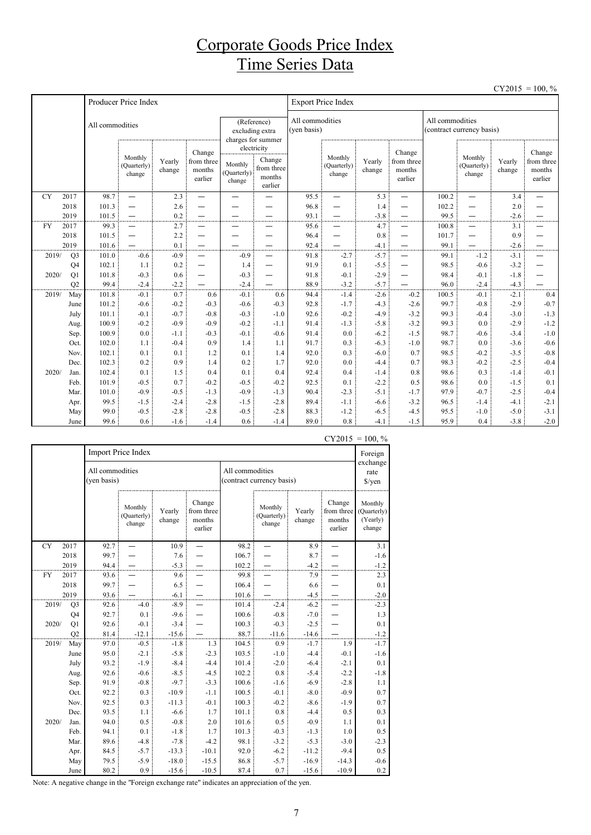## Corporate Goods Price Index Time Series Data

|           |                |                 |                                  |                  |                                           |                                           |                                                          |                                |                                  |                  |                                                      |                                              |                                  |                  | $CY2015 = 100, \%$                        |
|-----------|----------------|-----------------|----------------------------------|------------------|-------------------------------------------|-------------------------------------------|----------------------------------------------------------|--------------------------------|----------------------------------|------------------|------------------------------------------------------|----------------------------------------------|----------------------------------|------------------|-------------------------------------------|
|           |                |                 | Producer Price Index             |                  |                                           |                                           |                                                          |                                | <b>Export Price Index</b>        |                  |                                                      |                                              |                                  |                  |                                           |
|           |                | All commodities |                                  |                  |                                           |                                           | (Reference)<br>excluding extra<br>charges for summer     | All commodities<br>(yen basis) |                                  |                  |                                                      | All commodities<br>(contract currency basis) |                                  |                  |                                           |
|           |                |                 | Monthly<br>(Quarterly)<br>change | Yearly<br>change | Change<br>from three<br>months<br>earlier | Monthly<br>(Quarterly)<br>$_{\rm change}$ | electricity<br>Change<br>from three<br>months<br>earlier |                                | Monthly<br>(Quarterly)<br>change | Yearly<br>change | Change<br>from three<br>months<br>earlier            |                                              | Monthly<br>(Quarterly)<br>change | Yearly<br>change | Change<br>from three<br>months<br>earlier |
| <b>CY</b> | 2017           | 98.7            | $\overline{\phantom{0}}$         | 2.3              | $\overline{\phantom{0}}$                  | $\overline{\phantom{0}}$                  |                                                          | 95.5                           | $\overline{\phantom{0}}$         | 5.3              | —                                                    | 100.2                                        | $\equiv$                         | 3.4              | $\overline{\phantom{0}}$                  |
|           | 2018           | 101.3           | $\overline{\phantom{0}}$         | 2.6              |                                           |                                           |                                                          | 96.8                           | $\overline{\phantom{0}}$         | 1.4              | $\overline{\phantom{0}}$                             | 102.2                                        | —                                | 2.0              |                                           |
|           | 2019           | 101.5           | $\overline{\phantom{0}}$         | 0.2              |                                           |                                           |                                                          | 93.1                           | $\overline{\phantom{0}}$         | $-3.8$           | —                                                    | 99.5                                         |                                  | $-2.6$           | —                                         |
| <b>FY</b> | 2017           | 99.3            | $\overline{\phantom{0}}$         | 2.7              |                                           | —                                         |                                                          | 95.6                           | $\overline{\phantom{0}}$         | 4.7              |                                                      | 100.8                                        |                                  | 3.1              | —                                         |
|           | 2018           | 101.5           | $\overline{\phantom{0}}$         | 2.2              | —                                         | -                                         |                                                          | 96.4                           | $\overline{\phantom{0}}$         | 0.8              | -                                                    | 101.7                                        | —                                | 0.9              | —                                         |
|           | 2019           | 101.6           |                                  | 0.1              |                                           |                                           | $\overline{\phantom{0}}$                                 | 92.4                           | $\overline{\phantom{0}}$         | $-4.1$           | $\overline{\phantom{0}}$                             | 99.1                                         | —                                | $-2.6$           | —                                         |
| 2019/     | Q <sub>3</sub> | 101.0<br>102.1  | $-0.6$<br>1.1                    | $-0.9$<br>0.2    | $\overline{\phantom{0}}$                  | $-0.9$<br>1.4                             | $\overline{\phantom{0}}$                                 | 91.8<br>91.9                   | $-2.7$<br>0.1                    | $-5.7$<br>$-5.5$ | $\overline{\phantom{0}}$<br>$\overline{\phantom{0}}$ | 99.1<br>98.5                                 | $-1.2$<br>$-0.6$                 | $-3.1$<br>$-3.2$ | $\overline{\phantom{0}}$<br>—             |
| 2020/     | Q4<br>Q1       | 101.8           | $-0.3$                           | 0.6              |                                           | $-0.3$                                    | $\overline{\phantom{0}}$                                 | 91.8                           | $-0.1$                           | $-2.9$           | —                                                    | 98.4                                         | $-0.1$                           | $-1.8$           |                                           |
|           | Q2             | 99.4            | $-2.4$                           | $-2.2$           | —                                         | $-2.4$                                    |                                                          | 88.9                           | $-3.2$                           | $-5.7$           |                                                      | 96.0                                         | $-2.4$                           | $-4.3$           |                                           |
| 2019/     | May            | 101.8           | $-0.1$                           | 0.7              | 0.6                                       | $-0.1$                                    | 0.6                                                      | 94.4                           | $-1.4$                           | $-2.6$           | $-0.2$                                               | 100.5                                        | $-0.1$                           | $-2.1$           | 0.4                                       |
|           | June           | 101.2           | $-0.6$                           | $-0.2$           | $-0.3$                                    | $-0.6$                                    | $-0.3$                                                   | 92.8                           | $-1.7$                           | $-4.3$           | $-2.6$                                               | 99.7                                         | $-0.8$                           | $-2.9$           | $-0.7$                                    |
|           | July           | 101.1           | $-0.1$                           | $-0.7$           | $-0.8$                                    | $-0.3$                                    | $-1.0$                                                   | 92.6                           | $-0.2$                           | $-4.9$           | $-3.2$                                               | 99.3                                         | $-0.4$                           | $-3.0$           | $-1.3$                                    |
|           | Aug.           | 100.9           | $-0.2$                           | $-0.9$           | $-0.9$                                    | $-0.2$                                    | $-1.1$                                                   | 91.4                           | $-1.3$                           | $-5.8$           | $-3.2$                                               | 99.3                                         | 0.0                              | $-2.9$           | $-1.2$                                    |
|           | Sep.           | 100.9           | 0.0                              | $-1.1$           | $-0.3$                                    | $-0.1$                                    | $-0.6$                                                   | 91.4                           | 0.0                              | $-6.2$           | $-1.5$                                               | 98.7                                         | $-0.6$                           | $-3.4$           | $-1.0$                                    |
|           | Oct.           | 102.0           | 1.1                              | $-0.4$           | 0.9                                       | 1.4                                       | 1.1                                                      | 91.7                           | 0.3                              | $-6.3$           | $-1.0$                                               | 98.7                                         | 0.0                              | $-3.6$           | $-0.6$                                    |
|           | Nov.           | 102.1           | 0.1                              | 0.1              | 1.2                                       | 0.1                                       | 1.4                                                      | 92.0                           | 0.3                              | $-6.0$           | 0.7                                                  | 98.5                                         | $-0.2$                           | $-3.5$           | $-0.8$                                    |
|           | Dec.           | 102.3           | 0.2                              | 0.9              | 1.4                                       | 0.2                                       | 1.7                                                      | 92.0                           | 0.0                              | $-4.4$           | 0.7                                                  | 98.3                                         | $-0.2$                           | $-2.5$           | $-0.4$                                    |
| 2020/     | Jan.           | 102.4           | 0.1                              | 1.5              | 0.4                                       | 0.1                                       | 0.4                                                      | 92.4                           | 0.4                              | $-1.4$           | 0.8                                                  | 98.6                                         | 0.3                              | $-1.4$           | $-0.1$                                    |
|           | Feb.           | 101.9           | $-0.5$                           | 0.7              | $-0.2$                                    | $-0.5$                                    | $-0.2$                                                   | 92.5                           | 0.1                              | $-2.2$           | 0.5                                                  | 98.6                                         | 0.0                              | $-1.5$           | 0.1                                       |
|           | Mar.           | 101.0           | $-0.9$                           | $-0.5$           | $-1.3$                                    | $-0.9$                                    | $-1.3$                                                   | 90.4                           | $-2.3$                           | $-5.1$           | $-1.7$                                               | 97.9                                         | $-0.7$                           | $-2.5$           | $-0.4$                                    |
|           | Apr.           | 99.5            | $-1.5$                           | $-2.4$           | $-2.8$                                    | $-1.5$                                    | $-2.8$                                                   | 89.4                           | $-1.1$                           | $-6.6$           | $-3.2$                                               | 96.5                                         | $-1.4$                           | $-4.1$           | $-2.1$                                    |
|           | May            | 99.0            | $-0.5$                           | $-2.8$           | $-2.8$                                    | $-0.5$                                    | $-2.8$                                                   | 88.3                           | $-1.2$                           | $-6.5$           | $-4.5$                                               | 95.5                                         | $-1.0$                           | $-5.0$           | $-3.1$                                    |
|           | June           | 99.6            | 0.6                              | $-1.6$           | $-1.4$                                    | 0.6                                       | $-1.4$                                                   | 89.0                           | 0.8                              | $-4.1$           | $-1.5$                                               | 95.9                                         | 0.4                              | $-3.8$           | $-2.0$                                    |

|           |                |                                | Import Price Index               |                  |                                           |                 |                                  |                  |                                           | Foreign                                      |
|-----------|----------------|--------------------------------|----------------------------------|------------------|-------------------------------------------|-----------------|----------------------------------|------------------|-------------------------------------------|----------------------------------------------|
|           |                | All commodities<br>(yen basis) |                                  |                  |                                           | All commodities | (contract currency basis)        |                  |                                           | exchange<br>rate<br>$\sqrt{\frac{2}{\pi}}$   |
|           |                |                                | Monthly<br>(Quarterly)<br>change | Yearly<br>change | Change<br>from three<br>months<br>earlier |                 | Monthly<br>(Quarterly)<br>change | Yearly<br>change | Change<br>from three<br>months<br>earlier | Monthly<br>(Quarterly)<br>(Yearly)<br>change |
| <b>CY</b> | 2017           | 92.7                           |                                  | 10.9             |                                           | 98.2            |                                  | 8.9              |                                           | 3.1                                          |
|           | 2018           | 99.7                           |                                  | 7.6              |                                           | 106.7           |                                  | 8.7              |                                           | $-1.6$                                       |
|           | 2019           | 94.4                           |                                  | $-5.3$           |                                           | 102.2           |                                  | $-4.2$           |                                           | $-1.2$                                       |
| FY        | 2017           | 93.6                           |                                  | 9.6              |                                           | 99.8            |                                  | 7.9              |                                           | 2.3                                          |
|           | 2018           | 99.7                           |                                  | 6.5              |                                           | 106.4           |                                  | 6.6              |                                           | 0.1                                          |
|           | 2019           | 93.6                           |                                  | $-6.1$           |                                           | 101.6           |                                  | $-4.5$           |                                           | $-2.0$                                       |
| 2019/     | Q <sub>3</sub> | 92.6                           | $-4.0$                           | $-8.9$           |                                           | 101.4           | $-2.4$                           | $-6.2$           |                                           | $-2.3$                                       |
|           | Q <sub>4</sub> | 92.7                           | 0.1                              | $-9.6$           |                                           | 100.6           | $-0.8$                           | $-7.0$           |                                           | 1.3                                          |
| 2020/     | Q1             | 92.6                           | $-0.1$                           | $-3.4$           |                                           | 100.3           | $-0.3$                           | $-2.5$           |                                           | 0.1                                          |
|           | Q2             | 81.4                           | $-12.1$                          | $-15.6$          |                                           | 88.7            | $-11.6$                          | $-14.6$          |                                           | $-1.2$                                       |
| 2019/     | May            | 97.0                           | $-0.5$                           | $-1.8$           | 1.3                                       | 104.5           | 0.9                              | $-1.7$           | 1.9                                       | $-1.7$                                       |
|           | June           | 95.0                           | $-2.1$                           | $-5.8$           | $-2.3$                                    | 103.5           | $-1.0$                           | $-4.4$           | $-0.1$                                    | $-1.6$                                       |
|           | July           | 93.2                           | $-1.9$                           | $-8.4$           | $-4.4$                                    | 101.4           | $-2.0$                           | $-6.4$           | $-2.1$                                    | 0.1                                          |
|           | Aug.           | 92.6                           | $-0.6$                           | $-8.5$           | $-4.5$                                    | 102.2           | $0.8\,$                          | $-5.4$           | $-2.2$                                    | $-1.8$                                       |
|           | Sep.           | 91.9                           | $-0.8$                           | $-9.7$           | $-3.3$                                    | 100.6           | $-1.6$                           | $-6.9$           | $-2.8$                                    | 1.1                                          |
|           | Oct.           | 92.2                           | 0.3                              | $-10.9$          | $-1.1$                                    | 100.5           | $-0.1$                           | $-8.0$           | $-0.9$                                    | 0.7                                          |
|           | Nov.           | 92.5                           | 0.3                              | $-11.3$          | $-0.1$                                    | 100.3           | $-0.2$                           | $-8.6$           | $-1.9$                                    | 0.7                                          |
|           | Dec.           | 93.5                           | 1.1                              | $-6.6$           | 1.7                                       | 101.1           | $0.8\,$                          | $-4.4$           | 0.5                                       | 0.3                                          |
| 2020/     | Jan.           | 94.0                           | 0.5                              | $-0.8$           | 2.0                                       | 101.6           | 0.5                              | $-0.9$           | 1.1                                       | 0.1                                          |
|           | Feb.           | 94.1                           | 0.1                              | $-1.8$           | 1.7                                       | 101.3           | $-0.3$                           | $-1.3$           | 1.0                                       | 0.5                                          |
|           | Mar.           | 89.6                           | $-4.8$                           | $-7.8$           | $-4.2$                                    | 98.1            | $-3.2$                           | $-5.3$           | $-3.0$                                    | $-2.3$                                       |
|           | Apr.           | 84.5                           | $-5.7$                           | $-13.3$          | $-10.1$                                   | 92.0            | $-6.2$                           | $-11.2$          | $-9.4$                                    | 0.5                                          |
|           | May            | 79.5                           | $-5.9$                           | $-18.0$          | $-15.5$                                   | 86.8            | $-5.7$                           | $-16.9$          | $-14.3$                                   | $-0.6$                                       |
|           | June           | 80.2                           | 0.9                              | $-15.6$          | $-10.5$                                   | 87.4            | 0.7                              | $-15.6$          | $-10.9$                                   | 0.2                                          |

 $CY2015 = 100, \%$ 

Note: A negative change in the "Foreign exchange rate" indicates an appreciation of the yen.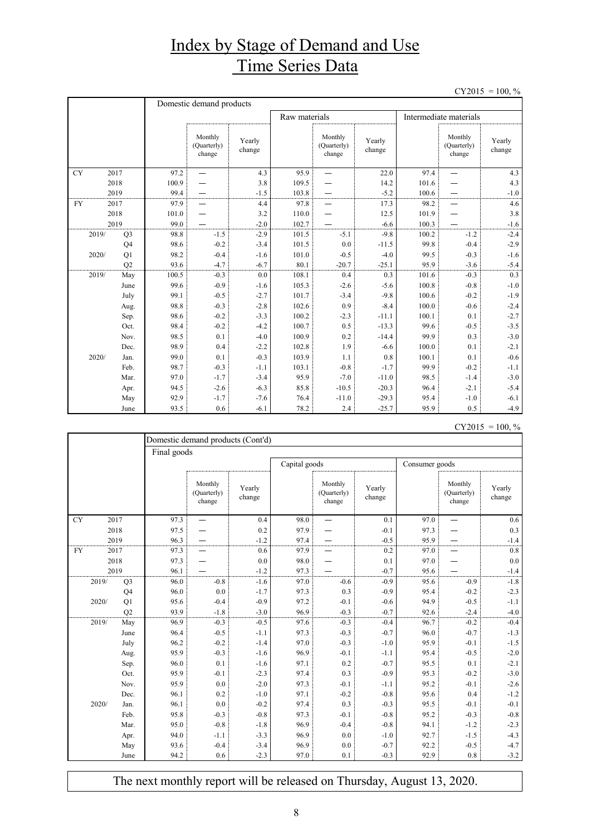## Index by Stage of Demand and Use Time Series Data

 $CY2015 = 100, \%$ 

|           |       |                | Domestic demand products |                                  |                  |       |                                  |                  |                        |                                  |                  |  |
|-----------|-------|----------------|--------------------------|----------------------------------|------------------|-------|----------------------------------|------------------|------------------------|----------------------------------|------------------|--|
|           |       |                | Raw materials            |                                  |                  |       |                                  |                  | Intermediate materials |                                  |                  |  |
|           |       |                |                          | Monthly<br>(Quarterly)<br>change | Yearly<br>change |       | Monthly<br>(Quarterly)<br>change | Yearly<br>change |                        | Monthly<br>(Quarterly)<br>change | Yearly<br>change |  |
| <b>CY</b> |       | 2017           | 97.2                     |                                  | 4.3              | 95.9  |                                  | 22.0             | 97.4                   |                                  | 4.3              |  |
|           |       | 2018           | 100.9                    |                                  | 3.8              | 109.5 |                                  | 14.2             | 101.6                  |                                  | 4.3              |  |
|           |       | 2019           | 99.4                     |                                  | $-1.5$           | 103.8 |                                  | $-5.2$           | 100.6                  |                                  | $-1.0$           |  |
| <b>FY</b> |       | 2017           | 97.9                     |                                  | 4.4              | 97.8  |                                  | 17.3             | 98.2                   |                                  | 4.6              |  |
|           |       | 2018           | 101.0                    |                                  | 3.2              | 110.0 |                                  | 12.5             | 101.9                  |                                  | 3.8              |  |
|           |       | 2019           | 99.0                     |                                  | $-2.0$           | 102.7 |                                  | $-6.6$           | 100.3                  |                                  | $-1.6$           |  |
|           | 2019/ | Q <sub>3</sub> | 98.8                     | $-1.5$                           | $-2.9$           | 101.5 | $-5.1$                           | $-9.8$           | 100.2                  | $-1.2$                           | $-2.4$           |  |
|           |       | Q <sub>4</sub> | 98.6                     | $-0.2$                           | $-3.4$           | 101.5 | 0.0                              | $-11.5$          | 99.8                   | $-0.4$                           | $-2.9$           |  |
|           | 2020/ | Q1             | 98.2                     | $-0.4$                           | $-1.6$           | 101.0 | $-0.5$                           | $-4.0$           | 99.5                   | $-0.3$                           | $-1.6$           |  |
|           |       | Q2             | 93.6                     | $-4.7$                           | $-6.7$           | 80.1  | $-20.7$                          | $-25.1$          | 95.9                   | $-3.6$                           | $-5.4$           |  |
|           | 2019/ | May            | 100.5                    | $-0.3$                           | 0.0              | 108.1 | 0.4                              | 0.3              | 101.6                  | $-0.3$                           | 0.3              |  |
|           |       | June           | 99.6                     | $-0.9$                           | $-1.6$           | 105.3 | $-2.6$                           | $-5.6$           | 100.8                  | $-0.8$                           | $-1.0$           |  |
|           |       | July           | 99.1                     | $-0.5$                           | $-2.7$           | 101.7 | $-3.4$                           | $-9.8$           | 100.6                  | $-0.2$                           | $-1.9$           |  |
|           |       | Aug.           | 98.8                     | $-0.3$                           | $-2.8$           | 102.6 | 0.9                              | $-8.4$           | 100.0                  | $-0.6$                           | $-2.4$           |  |
|           |       | Sep.           | 98.6                     | $-0.2$                           | $-3.3$           | 100.2 | $-2.3$                           | $-11.1$          | 100.1                  | 0.1                              | $-2.7$           |  |
|           |       | Oct.           | 98.4                     | $-0.2$                           | $-4.2$           | 100.7 | 0.5                              | $-13.3$          | 99.6                   | $-0.5$                           | $-3.5$           |  |
|           |       | Nov.           | 98.5                     | 0.1                              | $-4.0$           | 100.9 | 0.2                              | $-14.4$          | 99.9                   | 0.3                              | $-3.0$           |  |
|           |       | Dec.           | 98.9                     | 0.4                              | $-2.2$           | 102.8 | 1.9                              | $-6.6$           | 100.0                  | 0.1                              | $-2.1$           |  |
|           | 2020/ | Jan.           | 99.0                     | 0.1                              | $-0.3$           | 103.9 | 1.1                              | 0.8              | 100.1                  | 0.1                              | $-0.6$           |  |
|           |       | Feb.           | 98.7                     | $-0.3$                           | $-1.1$           | 103.1 | $-0.8$                           | $-1.7$           | 99.9                   | $-0.2$                           | $-1.1$           |  |
|           |       | Mar.           | 97.0                     | $-1.7$                           | $-3.4$           | 95.9  | $-7.0$                           | $-11.0$          | 98.5                   | $-1.4$                           | $-3.0$           |  |
|           |       | Apr.           | 94.5                     | $-2.6$                           | $-6.3$           | 85.8  | $-10.5$                          | $-20.3$          | 96.4                   | $-2.1$                           | $-5.4$           |  |
|           |       | May            | 92.9                     | $-1.7$                           | $-7.6$           | 76.4  | $-11.0$                          | $-29.3$          | 95.4                   | $-1.0$                           | $-6.1$           |  |
|           |       | June           | 93.5                     | 0.6                              | $-6.1$           | 78.2  | 2.4                              | $-25.7$          | 95.9                   | 0.5                              | $-4.9$           |  |

| $CY2015 = 100, \%$ |  |
|--------------------|--|
|                    |  |

|       |                | Domestic demand products (Cont'd) |                                  |                  |      |                                  |                  |      |                                  |                  |  |
|-------|----------------|-----------------------------------|----------------------------------|------------------|------|----------------------------------|------------------|------|----------------------------------|------------------|--|
|       |                | Final goods                       |                                  |                  |      |                                  |                  |      |                                  |                  |  |
|       |                | Capital goods<br>Consumer goods   |                                  |                  |      |                                  |                  |      |                                  |                  |  |
|       |                |                                   | Monthly<br>(Quarterly)<br>change | Yearly<br>change |      | Monthly<br>(Quarterly)<br>change | Yearly<br>change |      | Monthly<br>(Quarterly)<br>change | Yearly<br>change |  |
| CY    | 2017           | 97.3                              |                                  | 0.4              | 98.0 |                                  | 0.1              | 97.0 |                                  | 0.6              |  |
|       | 2018           | 97.5                              |                                  | 0.2              | 97.9 |                                  | $-0.1$           | 97.3 |                                  | 0.3              |  |
|       | 2019           | 96.3                              |                                  | $-1.2$           | 97.4 |                                  | $-0.5$           | 95.9 |                                  | $-1.4$           |  |
| FY    | 2017           | 97.3                              |                                  | 0.6              | 97.9 |                                  | 0.2              | 97.0 |                                  | 0.8              |  |
|       | 2018           | 97.3                              |                                  | 0.0              | 98.0 |                                  | 0.1              | 97.0 |                                  | 0.0              |  |
| 2019  |                | 96.1                              |                                  | $-1.2$           | 97.3 |                                  | $-0.7$           | 95.6 |                                  | $-1.4$           |  |
| 2019/ | Q <sub>3</sub> | 96.0                              | $-0.8$                           | $-1.6$           | 97.0 | $-0.6$                           | $-0.9$           | 95.6 | $-0.9$                           | $-1.8$           |  |
|       | Q4             | 96.0                              | 0.0                              | $-1.7$           | 97.3 | 0.3                              | $-0.9$           | 95.4 | $-0.2$                           | $-2.3$           |  |
| 2020/ | Q1             | 95.6                              | $-0.4$                           | $-0.9$           | 97.2 | $-0.1$                           | $-0.6$           | 94.9 | $-0.5$                           | $-1.1$           |  |
|       | Q2             | 93.9                              | $-1.8$                           | $-3.0$           | 96.9 | $-0.3$                           | $-0.7$           | 92.6 | $-2.4$                           | $-4.0$           |  |
| 2019/ | May            | 96.9                              | $-0.3$                           | $-0.5$           | 97.6 | $-0.3$                           | $-0.4$           | 96.7 | $-0.2$                           | $-0.4$           |  |
|       | June           | 96.4                              | $-0.5$                           | $-1.1$           | 97.3 | $-0.3$                           | $-0.7$           | 96.0 | $-0.7$                           | $-1.3$           |  |
|       | July           | 96.2                              | $-0.2$                           | $-1.4$           | 97.0 | $-0.3$                           | $-1.0$           | 95.9 | $-0.1$                           | $-1.5$           |  |
|       | Aug.           | 95.9                              | $-0.3$                           | $-1.6$           | 96.9 | $-0.1$                           | $-1.1$           | 95.4 | $-0.5$                           | $-2.0$           |  |
|       | Sep.           | 96.0                              | 0.1                              | $-1.6$           | 97.1 | 0.2                              | $-0.7$           | 95.5 | 0.1                              | $-2.1$           |  |
|       | Oct.           | 95.9                              | $-0.1$                           | $-2.3$           | 97.4 | 0.3                              | $-0.9$           | 95.3 | $-0.2$                           | $-3.0$           |  |
|       | Nov.           | 95.9                              | 0.0                              | $-2.0$           | 97.3 | $-0.1$                           | $-1.1$           | 95.2 | $-0.1$                           | $-2.6$           |  |
|       | Dec.           | 96.1                              | 0.2                              | $-1.0$           | 97.1 | $-0.2$                           | $-0.8$           | 95.6 | 0.4                              | $-1.2$           |  |
| 2020/ | Jan.           | 96.1                              | 0.0                              | $-0.2$           | 97.4 | 0.3                              | $-0.3$           | 95.5 | $-0.1$                           | $-0.1$           |  |
|       | Feb.           | 95.8                              | $-0.3$                           | $-0.8$           | 97.3 | $-0.1$                           | $-0.8$           | 95.2 | $-0.3$                           | $-0.8$           |  |
|       | Mar.           | 95.0                              | $-0.8$                           | $-1.8$           | 96.9 | $-0.4$                           | $-0.8$           | 94.1 | $-1.2$                           | $-2.3$           |  |
|       | Apr.           | 94.0                              | $-1.1$                           | $-3.3$           | 96.9 | 0.0                              | $-1.0$           | 92.7 | $-1.5$                           | $-4.3$           |  |
|       | May            | 93.6                              | $-0.4$                           | $-3.4$           | 96.9 | 0.0                              | $-0.7$           | 92.2 | $-0.5$                           | $-4.7$           |  |
|       | June           | 94.2                              | 0.6                              | $-2.3$           | 97.0 | 0.1                              | $-0.3$           | 92.9 | 0.8                              | $-3.2$           |  |

The next monthly report will be released on Thursday, August 13, 2020.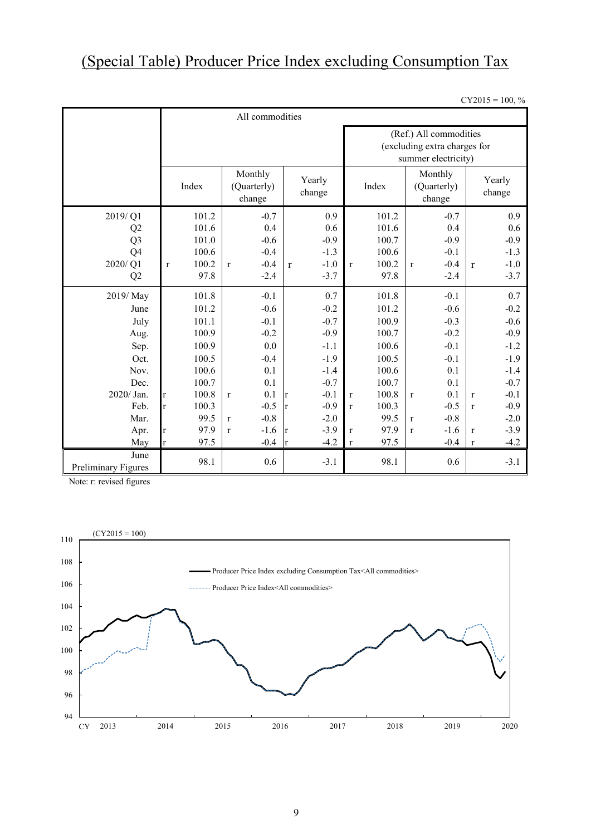# (Special Table) Producer Price Index excluding Consumption Tax

 $CY2015 = 100, \%$ 

|                             | All commodities       |                                  |                        |                                                                               |                                  |                        |  |  |  |  |
|-----------------------------|-----------------------|----------------------------------|------------------------|-------------------------------------------------------------------------------|----------------------------------|------------------------|--|--|--|--|
|                             |                       |                                  |                        | (Ref.) All commodities<br>(excluding extra charges for<br>summer electricity) |                                  |                        |  |  |  |  |
|                             | Index                 | Monthly<br>(Quarterly)<br>change | Yearly<br>change       | Index                                                                         | Monthly<br>(Quarterly)<br>change | Yearly<br>change       |  |  |  |  |
| 2019/Q1                     | 101.2                 | $-0.7$                           | 0.9                    | 101.2                                                                         | $-0.7$                           | 0.9                    |  |  |  |  |
| Q <sub>2</sub>              | 101.6                 | 0.4                              | 0.6                    | 101.6                                                                         | 0.4                              | 0.6                    |  |  |  |  |
| Q <sub>3</sub>              | 101.0                 | $-0.6$                           | $-0.9$                 | 100.7                                                                         | $-0.9$                           | $-0.9$                 |  |  |  |  |
| Q <sub>4</sub>              | 100.6                 | $-0.4$                           | $-1.3$                 | 100.6                                                                         | $-0.1$                           | $-1.3$                 |  |  |  |  |
| 2020/Q1                     | 100.2<br>$\mathbf{r}$ | $-0.4$<br>$\mathbf{r}$           | $-1.0$<br>$\mathbf{r}$ | 100.2<br>$\mathbf{r}$                                                         | $-0.4$<br>$\mathbf{r}$           | $-1.0$<br>$\mathbf{r}$ |  |  |  |  |
| Q2                          | 97.8                  | $-2.4$                           | $-3.7$                 | 97.8                                                                          | $-2.4$                           | $-3.7$                 |  |  |  |  |
| 2019/May                    | 101.8                 | $-0.1$                           | 0.7                    | 101.8                                                                         | $-0.1$                           | 0.7                    |  |  |  |  |
| June                        | 101.2                 | $-0.6$                           | $-0.2$                 | 101.2                                                                         | $-0.6$                           | $-0.2$                 |  |  |  |  |
| July                        | 101.1                 | $-0.1$                           | $-0.7$                 | 100.9                                                                         | $-0.3$                           | $-0.6$                 |  |  |  |  |
| Aug.                        | 100.9                 | $-0.2$                           | $-0.9$                 | 100.7                                                                         | $-0.2$                           | $-0.9$                 |  |  |  |  |
| Sep.                        | 100.9                 | 0.0                              | $-1.1$                 | 100.6                                                                         | $-0.1$                           | $-1.2$                 |  |  |  |  |
| Oct.                        | 100.5                 | $-0.4$                           | $-1.9$                 | 100.5                                                                         | $-0.1$                           | $-1.9$                 |  |  |  |  |
| Nov.                        | 100.6                 | 0.1                              | $-1.4$                 | 100.6                                                                         | 0.1                              | $-1.4$                 |  |  |  |  |
| Dec.                        | 100.7                 | 0.1                              | $-0.7$                 | 100.7                                                                         | 0.1                              | $-0.7$                 |  |  |  |  |
| 2020/ Jan.                  | 100.8<br>$\mathbf{r}$ | 0.1<br>$\mathbf{r}$              | $-0.1$<br>$\mathbf{r}$ | 100.8<br>$\bf r$                                                              | 0.1<br>r                         | $-0.1$<br>$\bf r$      |  |  |  |  |
| Feb.                        | 100.3<br>$\mathbf{r}$ | $-0.5$                           | $-0.9$<br>lr.          | 100.3<br>$\mathbf{r}$                                                         | $-0.5$                           | $-0.9$<br>$\mathbf{r}$ |  |  |  |  |
| Mar.                        | 99.5                  | $-0.8$<br>$\mathbf{r}$           | $-2.0$                 | 99.5                                                                          | $-0.8$<br>$\mathbf{r}$           | $-2.0$                 |  |  |  |  |
| Apr.                        | 97.9<br>$\mathbf r$   | $-1.6$<br>$\mathbf{r}$           | $-3.9$<br><sup>r</sup> | 97.9<br>$\mathbf{r}$                                                          | $-1.6$<br>$\mathbf{r}$           | $-3.9$<br>$\mathbf{r}$ |  |  |  |  |
| May                         | 97.5<br>$\mathbf{r}$  | $-0.4$                           | $-4.2$<br>Ir           | 97.5<br>$\bf r$                                                               | $-0.4$                           | $-4.2$<br>$\bf r$      |  |  |  |  |
| June<br>Preliminary Figures | 98.1                  | 0.6                              | $-3.1$                 | 98.1                                                                          | 0.6                              | $-3.1$                 |  |  |  |  |

Note: r: revised figures